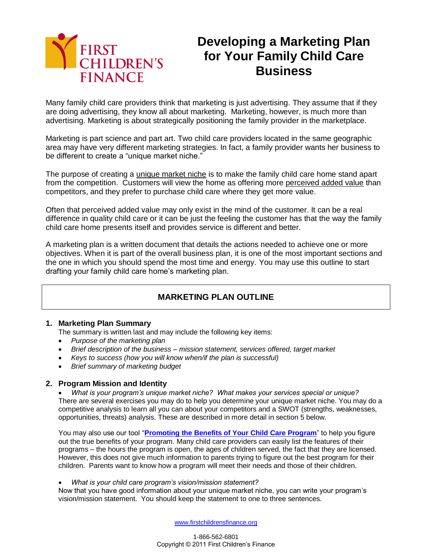

# **Developing a Marketing Plan for Your Family Child Care Business**

Many family child care providers think that marketing is just advertising. They assume that if they are doing advertising, they know all about marketing. Marketing, however, is much more than advertising. Marketing is about strategically positioning the family provider in the marketplace.

Marketing is part science and part art. Two child care providers located in the same geographic area may have very different marketing strategies. In fact, a family provider wants her business to be different to create a "unique market niche."

The purpose of creating a unique market niche is to make the family child care home stand apart from the competition. Customers will view the home as offering more perceived added value than competitors, and they prefer to purchase child care where they get more value.

Often that perceived added value may only exist in the mind of the customer. It can be a real difference in quality child care or it can be just the feeling the customer has that the way the family child care home presents itself and provides service is different and better.

A marketing plan is a written document that details the actions needed to achieve one or more objectives. When it is part of the overall business plan, it is one of the most important sections and the one in which you should spend the most time and energy. You may use this outline to start drafting your family child care home's marketing plan.

## **MARKETING PLAN OUTLINE**

#### **1. Marketing Plan Summary**

The summary is written last and may include the following key items:

- *Purpose of the marketing plan*
- *Brief description of the business – mission statement, services offered, target market*
- *Keys to success (how you will know when/if the plan is successful)*
- *Brief summary of marketing budget*

#### **2. Program Mission and Identity**

 *What is your program's unique market niche? What makes your services special or unique?* There are several exercises you may do to help you determine your unique market niche. You may do a competitive analysis to learn all you can about your competitors and a SWOT (strengths, weaknesses, opportunities, threats) analysis. These are described in more detail in section 5 below.

You may also use our tool "**[Promoting the Benefits of Your Child Care Program](http://www.firstchildrensfinance.org/businessresourcecenter/wp-content/blogs.dir/2/files/2010/09/Tool-Promoting-the-Benefits-of-Your-Child-Care.doc)**" to help you figure out the true benefits of your program. Many child care providers can easily list the features of their programs – the hours the program is open, the ages of children served, the fact that they are licensed. However, this does not give much information to parents trying to figure out the best program for their children. Parents want to know how a program will meet their needs and those of their children.

*What is your child care program's vision/mission statement?*

Now that you have good information about your unique market niche, you can write your program's vision/mission statement. You should keep the statement to one to three sentences.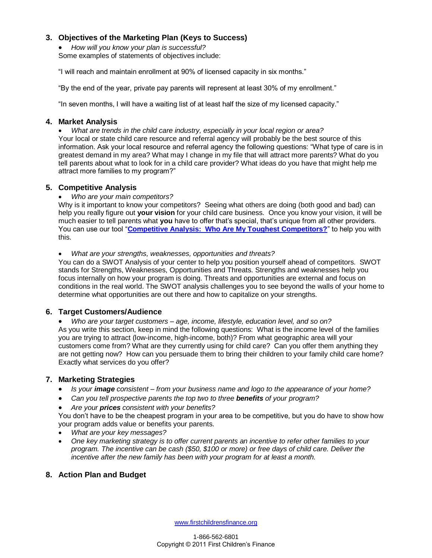## **3. Objectives of the Marketing Plan (Keys to Success)**

 *How will you know your plan is successful?* Some examples of statements of objectives include:

"I will reach and maintain enrollment at 90% of licensed capacity in six months."

"By the end of the year, private pay parents will represent at least 30% of my enrollment."

"In seven months, I will have a waiting list of at least half the size of my licensed capacity."

#### **4. Market Analysis**

 *What are trends in the child care industry, especially in your local region or area?* Your local or state child care resource and referral agency will probably be the best source of this information. Ask your local resource and referral agency the following questions: "What type of care is in greatest demand in my area? What may I change in my file that will attract more parents? What do you tell parents about what to look for in a child care provider? What ideas do you have that might help me attract more families to my program?"

### **5. Competitive Analysis**

*Who are your main competitors?*

Why is it important to know your competitors? Seeing what others are doing (both good and bad) can help you really figure out **your vision** for your child care business. Once you know your vision, it will be much easier to tell parents what **you** have to offer that's special, that's unique from all other providers. You can use our tool "**[Competitive Analysis: Who Are My Toughest Competitors?](http://www.firstchildrensfinance.org/businessresourcecenter/wp-content/blogs.dir/2/files/2010/09/Tool-Who-Are-My-Toughest-Competitors.doc)**" to help you with this.

*What are your strengths, weaknesses, opportunities and threats?*

You can do a SWOT Analysis of your center to help you position yourself ahead of competitors. SWOT stands for Strengths, Weaknesses, Opportunities and Threats. Strengths and weaknesses help you focus internally on how your program is doing. Threats and opportunities are external and focus on conditions in the real world. The SWOT analysis challenges you to see beyond the walls of your home to determine what opportunities are out there and how to capitalize on your strengths.

#### **6. Target Customers/Audience**

 *Who are your target customers – age, income, lifestyle, education level, and so on?* As you write this section, keep in mind the following questions: What is the income level of the families you are trying to attract (low-income, high-income, both)? From what geographic area will your customers come from? What are they currently using for child care? Can you offer them anything they are not getting now? How can you persuade them to bring their children to your family child care home? Exactly what services do you offer?

#### **7. Marketing Strategies**

- *Is your image consistent – from your business name and logo to the appearance of your home?*
- *Can you tell prospective parents the top two to three benefits of your program?*
- *Are your prices consistent with your benefits?*

You don't have to be the cheapest program in your area to be competitive, but you do have to show how your program adds value or benefits your parents.

- *What are your key messages?*
- *One key marketing strategy is to offer current parents an incentive to refer other families to your program. The incentive can be cash (\$50, \$100 or more) or free days of child care. Deliver the incentive after the new family has been with your program for at least a month.*

## **8. Action Plan and Budget**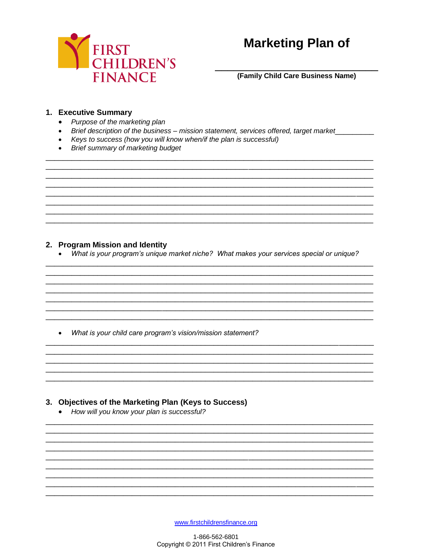

# **Marketing Plan of**

(Family Child Care Business Name)

## 1. Executive Summary

- Purpose of the marketing plan
- Brief description of the business mission statement, services offered, target market

<u> 1989 - Jan James James James James James James James James James James James James James James James James J</u>

<u> 1989 - Johann Stoff, deutscher Stoff, der Stoff, der Stoff, der Stoff, der Stoff, der Stoff, der Stoff, der S</u>

<u> 1989 - Johann John Stone, markin sanat masjid ayyı bir alan bir alan bir alan bir alan bir alan bir alan bir</u> <u> 1989 - Johann Harry Communication (b. 1989)</u>

<u> 1980 - Johann Barn, fransk politik (d. 1980)</u>

- Keys to success (how you will know when/if the plan is successful)
- Brief summary of marketing budget

#### 2. Program Mission and Identity

• What is your program's unique market niche? What makes your services special or unique?

• What is your child care program's vision/mission statement?

## 3. Objectives of the Marketing Plan (Keys to Success)

• How will you know your plan is successful?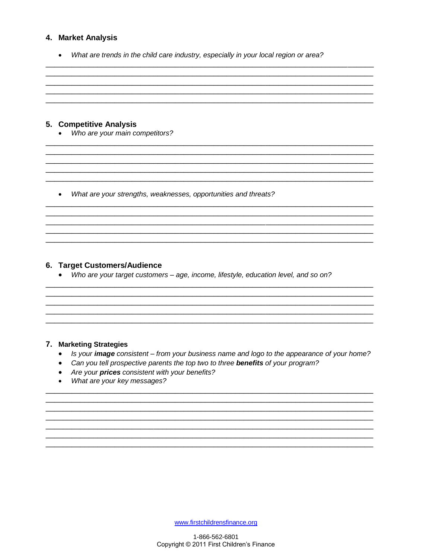#### 4. Market Analysis

• What are trends in the child care industry, especially in your local region or area?

#### 5. Competitive Analysis

• Who are your main competitors?

• What are your strengths, weaknesses, opportunities and threats?

### 6. Target Customers/Audience

• Who are your target customers - age, income, lifestyle, education level, and so on?

#### 7. Marketing Strategies

- Is your image consistent from your business name and logo to the appearance of your home?
- Can you tell prospective parents the top two to three benefits of your program?
- Are your prices consistent with your benefits?
- What are your key messages?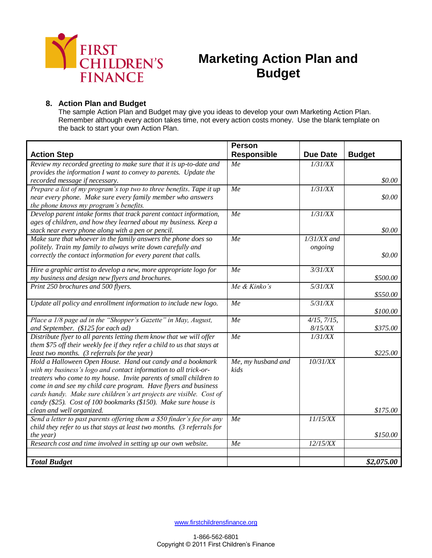

# **Marketing Action Plan and Budget**

## **8. Action Plan and Budget**

The sample Action Plan and Budget may give you ideas to develop your own Marketing Action Plan. Remember although every action takes time, not every action costs money. Use the blank template on the back to start your own Action Plan.

|                                                                                                                                                    | <b>Person</b>      |                   |               |
|----------------------------------------------------------------------------------------------------------------------------------------------------|--------------------|-------------------|---------------|
| <b>Action Step</b>                                                                                                                                 | <b>Responsible</b> | <b>Due Date</b>   | <b>Budget</b> |
| Review my recorded greeting to make sure that it is up-to-date and                                                                                 | Me                 | 1/31/XX           |               |
| provides the information I want to convey to parents. Update the                                                                                   |                    |                   |               |
| recorded message if necessary.                                                                                                                     |                    |                   | \$0.00        |
| Prepare a list of my program's top two to three benefits. Tape it up                                                                               | Me                 | 1/31/XX           |               |
| near every phone. Make sure every family member who answers                                                                                        |                    |                   | \$0.00        |
| the phone knows my program's benefits.                                                                                                             |                    |                   |               |
| Develop parent intake forms that track parent contact information,                                                                                 | Me                 | 1/31/XX           |               |
| ages of children, and how they learned about my business. Keep a                                                                                   |                    |                   |               |
| stack near every phone along with a pen or pencil.                                                                                                 |                    |                   | \$0.00        |
| Make sure that whoever in the family answers the phone does so                                                                                     | Me                 | $1/31/XX$ and     |               |
| politely. Train my family to always write down carefully and                                                                                       |                    | ongoing           |               |
| correctly the contact information for every parent that calls.                                                                                     |                    |                   | \$0.00        |
| Hire a graphic artist to develop a new, more appropriate logo for                                                                                  | Me                 | 3/31/XX           |               |
| my business and design new flyers and brochures.                                                                                                   |                    |                   | \$500.00      |
| Print 250 brochures and 500 flyers.                                                                                                                | Me & Kinko's       | 5/31/XX           |               |
|                                                                                                                                                    |                    |                   | \$550.00      |
| Update all policy and enrollment information to include new logo.                                                                                  | Me                 | 5/31/XX           |               |
|                                                                                                                                                    |                    |                   | \$100.00      |
| Place a 1/8 page ad in the "Shopper's Gazette" in May, August,                                                                                     | Me                 | $4/15$ , $7/15$ , |               |
| and September. (\$125 for each ad)                                                                                                                 |                    | 8/15/XX           | \$375.00      |
| Distribute flyer to all parents letting them know that we will offer                                                                               | Me                 | 1/31/XX           |               |
| them \$75 off their weekly fee if they refer a child to us that stays at                                                                           |                    |                   |               |
| least two months. (3 referrals for the year)                                                                                                       |                    |                   | \$225.00      |
| Hold a Halloween Open House. Hand out candy and a bookmark                                                                                         | Me, my husband and | 10/31/XX          |               |
| with my business's logo and contact information to all trick-or-                                                                                   | kids               |                   |               |
| treaters who come to my house. Invite parents of small children to                                                                                 |                    |                   |               |
| come in and see my child care program. Have flyers and business                                                                                    |                    |                   |               |
| cards handy. Make sure children's art projects are visible. Cost of                                                                                |                    |                   |               |
| candy (\$25). Cost of 100 bookmarks (\$150). Make sure house is                                                                                    |                    |                   |               |
| clean and well organized.                                                                                                                          | Me                 | 11/15/XX          | \$175.00      |
| Send a letter to past parents offering them a \$50 finder's fee for any<br>child they refer to us that stays at least two months. (3 referrals for |                    |                   |               |
| the year)                                                                                                                                          |                    |                   | \$150.00      |
| Research cost and time involved in setting up our own website.                                                                                     | Me                 | 12/15/XX          |               |
|                                                                                                                                                    |                    |                   |               |
| <b>Total Budget</b>                                                                                                                                |                    |                   | \$2,075.00    |